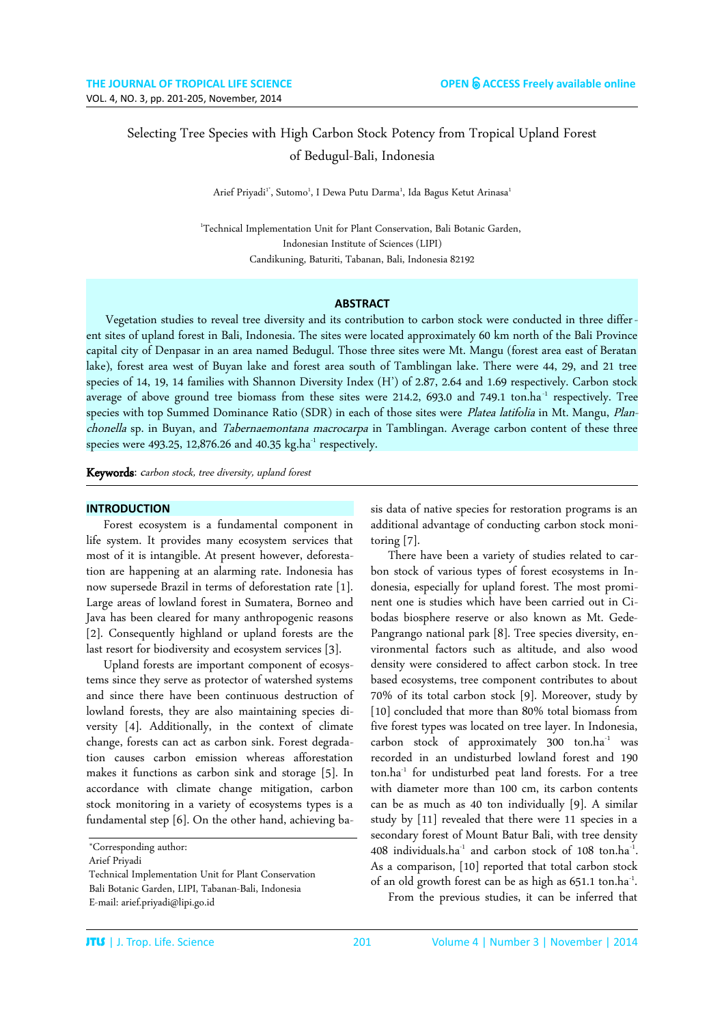# Selecting Tree Species with High Carbon Stock Potency from Tropical Upland Forest of Bedugul-Bali, Indonesia

Arief Priyadi'', Sutomo<sup>1</sup>, I Dewa Putu Darma<sup>1</sup>, Ida Bagus Ketut Arinasa<sup>1</sup>

<sup>1</sup>Technical Implementation Unit for Plant Conservation, Bali Botanic Garden, Indonesian Institute of Sciences (LIPI) Candikuning, Baturiti, Tabanan, Bali, Indonesia 82192

### **ABSTRACT**

 Vegetation studies to reveal tree diversity and its contribution to carbon stock were conducted in three differ ent sites of upland forest in Bali, Indonesia. The sites were located approximately 60 km north of the Bali Province capital city of Denpasar in an area named Bedugul. Those three sites were Mt. Mangu (forest area east of Beratan lake), forest area west of Buyan lake and forest area south of Tamblingan lake. There were 44, 29, and 21 tree species of 14, 19, 14 families with Shannon Diversity Index (H') of 2.87, 2.64 and 1.69 respectively. Carbon stock average of above ground tree biomass from these sites were 214.2, 693.0 and 749.1 ton.ha<sup>-1</sup> respectively. Tree species with top Summed Dominance Ratio (SDR) in each of those sites were Platea latifolia in Mt. Mangu, Planchonella sp. in Buyan, and Tabernaemontana macrocarpa in Tamblingan. Average carbon content of these three species were 493.25, 12,876.26 and 40.35  $kg$ .ha<sup>-1</sup> respectively.

Keywords: carbon stock, tree diversity, upland forest

#### **INTRODUCTION**

Forest ecosystem is a fundamental component in life system. It provides many ecosystem services that most of it is intangible. At present however, deforestation are happening at an alarming rate. Indonesia has now supersede Brazil in terms of deforestation rate [1]. Large areas of lowland forest in Sumatera, Borneo and Java has been cleared for many anthropogenic reasons [2]. Consequently highland or upland forests are the last resort for biodiversity and ecosystem services [3].

Upland forests are important component of ecosystems since they serve as protector of watershed systems and since there have been continuous destruction of lowland forests, they are also maintaining species diversity [4]. Additionally, in the context of climate change, forests can act as carbon sink. Forest degradation causes carbon emission whereas afforestation makes it functions as carbon sink and storage [5]. In accordance with climate change mitigation, carbon stock monitoring in a variety of ecosystems types is a fundamental step [6]. On the other hand, achieving basis data of native species for restoration programs is an additional advantage of conducting carbon stock monitoring [7].

There have been a variety of studies related to carbon stock of various types of forest ecosystems in Indonesia, especially for upland forest. The most prominent one is studies which have been carried out in Cibodas biosphere reserve or also known as Mt. Gede-Pangrango national park [8]. Tree species diversity, environmental factors such as altitude, and also wood density were considered to affect carbon stock. In tree based ecosystems, tree component contributes to about 70% of its total carbon stock [9]. Moreover, study by [10] concluded that more than 80% total biomass from five forest types was located on tree layer. In Indonesia, carbon stock of approximately 300 ton.ha-1 was recorded in an undisturbed lowland forest and 190 ton.ha-1 for undisturbed peat land forests. For a tree with diameter more than 100 cm, its carbon contents can be as much as 40 ton individually [9]. A similar study by [11] revealed that there were 11 species in a secondary forest of Mount Batur Bali, with tree density  $408$  individuals.ha<sup>-1</sup> and carbon stock of 108 ton.ha<sup>-1</sup>. . As a comparison, [10] reported that total carbon stock of an old growth forest can be as high as 651.1 ton.ha<sup>-1</sup>. . From the previous studies, it can be inferred that

<sup>\*</sup>Corresponding author:

Arief Priyadi

Technical Implementation Unit for Plant Conservation Bali Botanic Garden, LIPI, Tabanan-Bali, Indonesia E-mail: arief.priyadi@lipi.go.id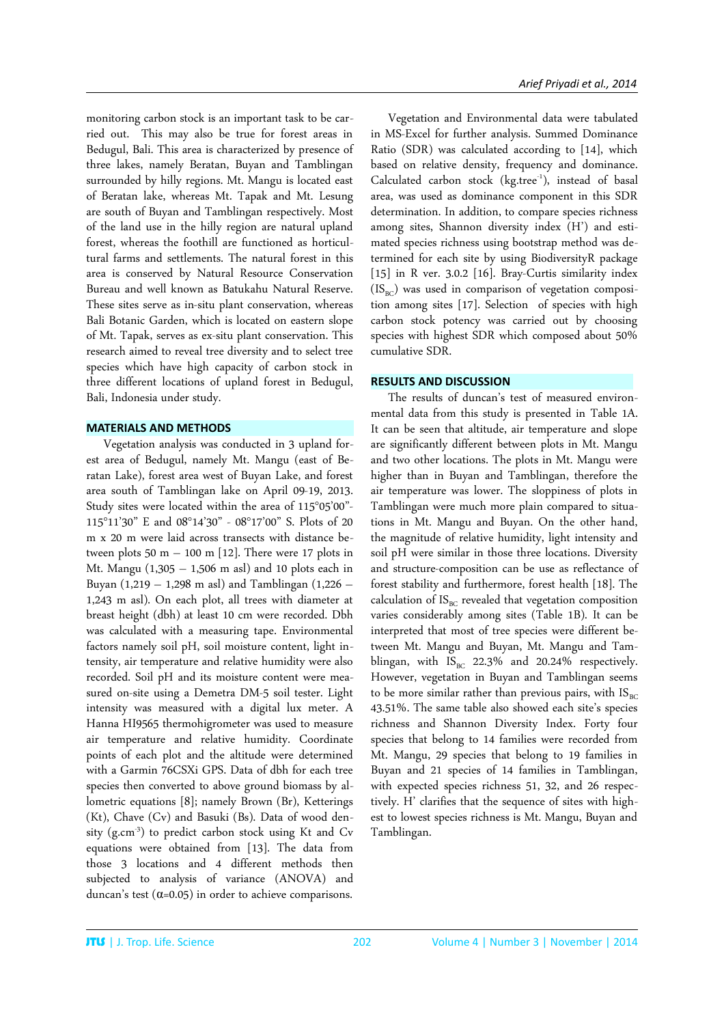monitoring carbon stock is an important task to be carried out. This may also be true for forest areas in Bedugul, Bali. This area is characterized by presence of three lakes, namely Beratan, Buyan and Tamblingan surrounded by hilly regions. Mt. Mangu is located east of Beratan lake, whereas Mt. Tapak and Mt. Lesung are south of Buyan and Tamblingan respectively. Most of the land use in the hilly region are natural upland forest, whereas the foothill are functioned as horticultural farms and settlements. The natural forest in this area is conserved by Natural Resource Conservation Bureau and well known as Batukahu Natural Reserve. These sites serve as in-situ plant conservation, whereas Bali Botanic Garden, which is located on eastern slope of Mt. Tapak, serves as ex-situ plant conservation. This research aimed to reveal tree diversity and to select tree species which have high capacity of carbon stock in three different locations of upland forest in Bedugul, Bali, Indonesia under study.

# **MATERIALS AND METHODS**

Vegetation analysis was conducted in 3 upland forest area of Bedugul, namely Mt. Mangu (east of Beratan Lake), forest area west of Buyan Lake, and forest area south of Tamblingan lake on April 09-19, 2013. Study sites were located within the area of 115°05'00"- 115°11'30" E and 08°14'30" - 08°17'00" S. Plots of 20 m x 20 m were laid across transects with distance between plots  $50 \text{ m} - 100 \text{ m}$  [12]. There were 17 plots in Mt. Mangu  $(1,305 - 1,506 \text{ m as}l)$  and 10 plots each in Buyan (1,219 – 1,298 m asl) and Tamblingan (1,226 – 1,243 m asl). On each plot, all trees with diameter at breast height (dbh) at least 10 cm were recorded. Dbh was calculated with a measuring tape. Environmental factors namely soil pH, soil moisture content, light intensity, air temperature and relative humidity were also recorded. Soil pH and its moisture content were measured on-site using a Demetra DM-5 soil tester. Light intensity was measured with a digital lux meter. A Hanna HI9565 thermohigrometer was used to measure air temperature and relative humidity. Coordinate points of each plot and the altitude were determined with a Garmin 76CSXi GPS. Data of dbh for each tree species then converted to above ground biomass by allometric equations [8]; namely Brown (Br), Ketterings (Kt), Chave (Cv) and Basuki (Bs). Data of wood density  $(g.cm^{-3})$  to predict carbon stock using Kt and Cv equations were obtained from [13]. The data from those 3 locations and 4 different methods then subjected to analysis of variance (ANOVA) and duncan's test ( $\alpha$ =0.05) in order to achieve comparisons.

Vegetation and Environmental data were tabulated in MS-Excel for further analysis. Summed Dominance Ratio (SDR) was calculated according to [14], which based on relative density, frequency and dominance. Calculated carbon stock  $(kg.tree^{-1})$ , instead of basal area, was used as dominance component in this SDR determination. In addition, to compare species richness among sites, Shannon diversity index (H') and estimated species richness using bootstrap method was determined for each site by using BiodiversityR package [15] in R ver. 3.0.2 [16]. Bray-Curtis similarity index  $(IS_{BC})$  was used in comparison of vegetation composition among sites [17]. Selection of species with high carbon stock potency was carried out by choosing species with highest SDR which composed about 50% cumulative SDR.

## **RESULTS AND DISCUSSION**

The results of duncan's test of measured environmental data from this study is presented in Table 1A. It can be seen that altitude, air temperature and slope are significantly different between plots in Mt. Mangu and two other locations. The plots in Mt. Mangu were higher than in Buyan and Tamblingan, therefore the air temperature was lower. The sloppiness of plots in Tamblingan were much more plain compared to situations in Mt. Mangu and Buyan. On the other hand, the magnitude of relative humidity, light intensity and soil pH were similar in those three locations. Diversity and structure-composition can be use as reflectance of forest stability and furthermore, forest health [18]. The calculation of  $IS<sub>BC</sub>$  revealed that vegetation composition varies considerably among sites (Table 1B). It can be interpreted that most of tree species were different between Mt. Mangu and Buyan, Mt. Mangu and Tamblingan, with  $IS_{BC}$  22.3% and 20.24% respectively. However, vegetation in Buyan and Tamblingan seems to be more similar rather than previous pairs, with  $IS_{BC}$ 43.51%. The same table also showed each site's species richness and Shannon Diversity Index. Forty four species that belong to 14 families were recorded from Mt. Mangu, 29 species that belong to 19 families in Buyan and 21 species of 14 families in Tamblingan, with expected species richness 51, 32, and 26 respectively. H' clarifies that the sequence of sites with highest to lowest species richness is Mt. Mangu, Buyan and Tamblingan.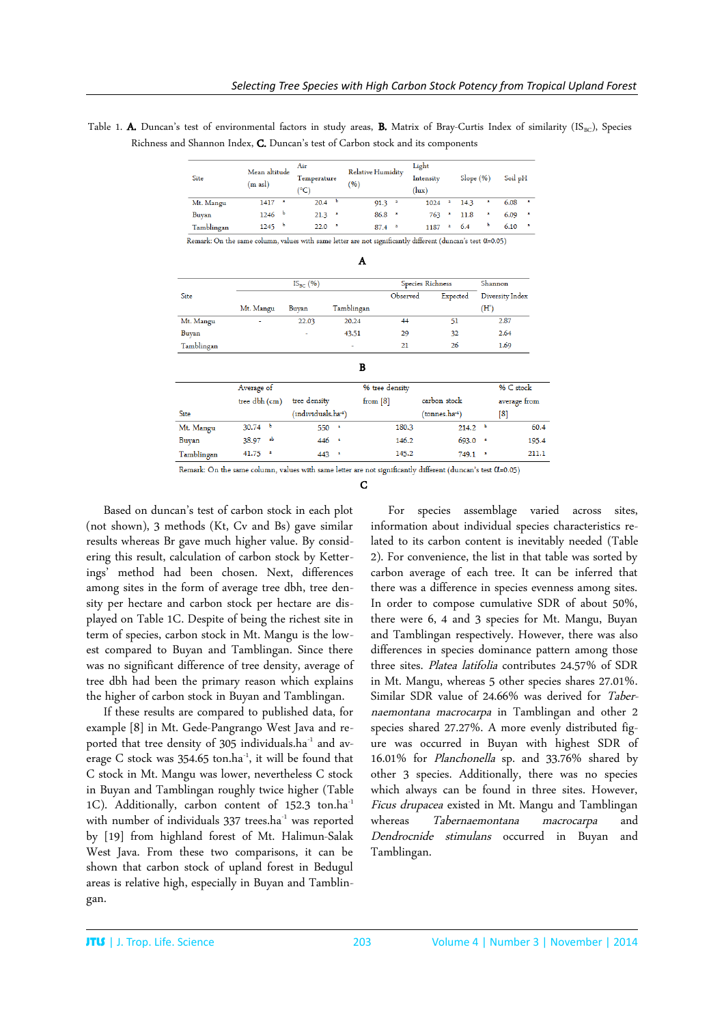Table 1. A. Duncan's test of environmental factors in study areas, B. Matrix of Bray-Curtis Index of similarity (IS<sub>BC</sub>), Species Richness and Shannon Index, C. Duncan's test of Carbon stock and its components

| Site       | Mean altitude<br>(m asl) | Air<br>Temperature<br>(°C | <b>Relative Humidity</b><br>(96) | Light<br>Intensity<br>(lux) | Slope (%) | Soil pH |
|------------|--------------------------|---------------------------|----------------------------------|-----------------------------|-----------|---------|
| Mt. Mangu  | a                        | 20.4                      | 91.3                             | 1024                        | 14.3      | 6.08    |
|            | 1417                     | ь                         | a                                | а                           | a         | a       |
| Buyan      | 1246                     | 21.3                      | 86.8                             | 763                         | 11.8      | 6.09    |
|            | - 6                      | $\overline{\phantom{a}}$  | - a                              | a                           | a         | а       |
| Tamblingan | - 6<br>1245              | 22.0<br>- 2               | 87.4<br>$\mathbf{a}$             | 1187<br>а                   | ъ<br>6.4  | 6.10    |

Remark: On the same column, values with same letter are not significantly different (duncan's test 0.05)

|            |               | $IS_{BC}(%)$       |            |                | Species Richness   | Shannon         |
|------------|---------------|--------------------|------------|----------------|--------------------|-----------------|
| Site       |               |                    |            | Observed       | Expected           | Diversity Index |
|            | Mt. Mangu     | Buyan              | Tamblingan |                |                    | (H')            |
| Mt. Mangu  | ٠             | 22.03              | 20.24      | 44             | 51                 | 2.87            |
| Buyan      |               | $\sim$             | 43.51      | 29             | 32                 | 2.64            |
| Tamblingan |               |                    | ٠          | 21             | 26                 | 1.69            |
|            |               |                    | B          |                |                    |                 |
|            | Average of    |                    |            | % tree density |                    | % C stock       |
|            | tree dbh (cm) | tree density       |            | from $[8]$     | carbon stock       | average from    |
| Site       |               | (individuals.ha-1) |            |                | (tonnes.ha-1)      | [8]             |
| Mt. Mangu  | $30.74$ b     | 550                | ×          | 180.3          | 214.2 <sup>b</sup> |                 |

Remark: On the same column, values with same letter are not significantly different (duncan's test  $\alpha$ =0.05)

446

 $443 -$ 

146.2

145.2

 $693.0$   $*$ 

 $749.1$   $*$ 

195.4

211.1

Based on duncan's test of carbon stock in each plot (not shown), 3 methods (Kt, Cv and Bs) gave similar results whereas Br gave much higher value. By considering this result, calculation of carbon stock by Ketterings' method had been chosen. Next, differences among sites in the form of average tree dbh, tree density per hectare and carbon stock per hectare are displayed on Table 1C. Despite of being the richest site in term of species, carbon stock in Mt. Mangu is the lowest compared to Buyan and Tamblingan. Since there was no significant difference of tree density, average of tree dbh had been the primary reason which explains the higher of carbon stock in Buyan and Tamblingan.

38.97

41.75

Buyan

Tamblingan

If these results are compared to published data, for example [8] in Mt. Gede-Pangrango West Java and reported that tree density of 305 individuals.ha<sup>-1</sup> and average C stock was 354.65 ton.ha<sup>-1</sup>, it will be found that C stock in Mt. Mangu was lower, nevertheless C stock in Buyan and Tamblingan roughly twice higher (Table 1C). Additionally, carbon content of 152.3 ton.ha<sup>-1</sup> with number of individuals 337 trees.ha<sup>-1</sup> was reported by [19] from highland forest of Mt. Halimun-Salak West Java. From these two comparisons, it can be shown that carbon stock of upland forest in Bedugul areas is relative high, especially in Buyan and Tamblingan.

For species assemblage varied across sites, information about individual species characteristics related to its carbon content is inevitably needed (Table 2). For convenience, the list in that table was sorted by carbon average of each tree. It can be inferred that there was a difference in species evenness among sites. In order to compose cumulative SDR of about 50%, there were 6, 4 and 3 species for Mt. Mangu, Buyan and Tamblingan respectively. However, there was also differences in species dominance pattern among those three sites. Platea latifolia contributes 24.57% of SDR in Mt. Mangu, whereas 5 other species shares 27.01%. Similar SDR value of 24.66% was derived for Tabernaemontana macrocarpa in Tamblingan and other 2 species shared 27.27%. A more evenly distributed figure was occurred in Buyan with highest SDR of 16.01% for Planchonella sp. and 33.76% shared by other 3 species. Additionally, there was no species which always can be found in three sites. However, Ficus drupacea existed in Mt. Mangu and Tamblingan<br>whereas Tabernaemontana macrocarpa and *Tabernaemontana macrocarpa* and<br>*estimulans* occurred in Buvan and Dendrocnide stimulans occurred in Buyan Tamblingan.

C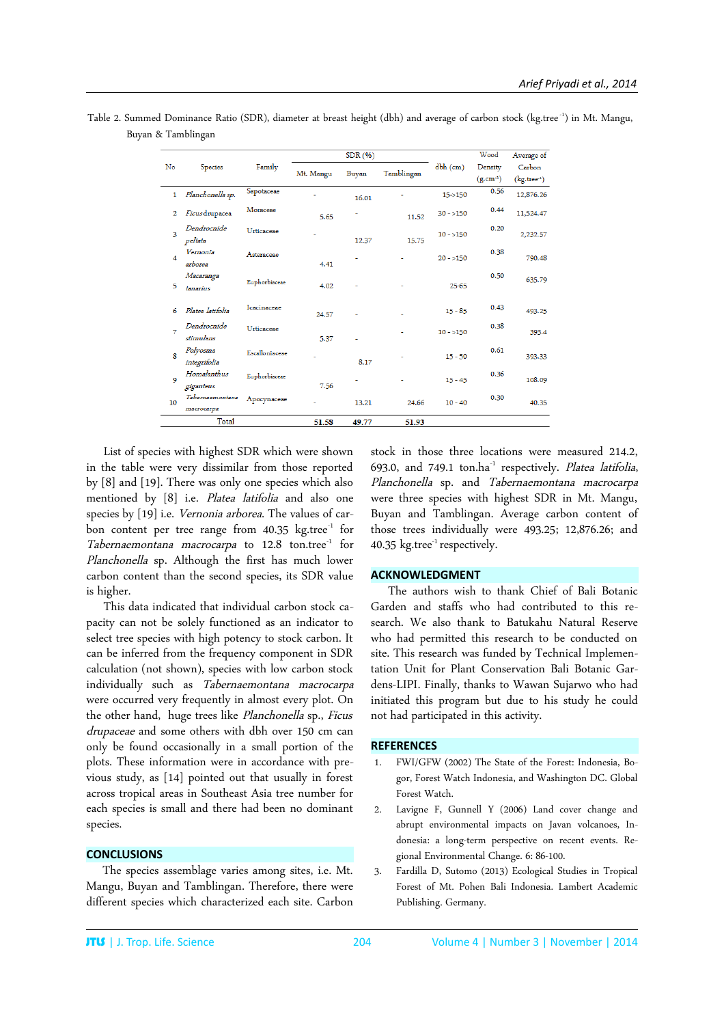| Table 2. Summed Dominance Ratio (SDR), diameter at breast height (dbh) and average of carbon stock (kg.tree <sup>-1</sup> ) in Mt. Mangu, |  |  |
|-------------------------------------------------------------------------------------------------------------------------------------------|--|--|
| Buyan & Tamblingan                                                                                                                        |  |  |

|                |                               |                | SDR(96)   |       |            |            | Wood          | Average of    |
|----------------|-------------------------------|----------------|-----------|-------|------------|------------|---------------|---------------|
| No             | <b>Species</b>                | Family         | Mt. Mangu |       | Tamblingan | $dbh$ (cm) | Density       | Carbon        |
|                |                               |                |           | Buyan |            |            | $(g.cm^{-3})$ | $(kg.tree-1)$ |
| 1              | Planchonella sp.              | Sapotaceae     |           | 16.01 |            | $15 - 150$ | 0.56          | 12,876.26     |
| 2              | Ficus drupacea                | Moraceae       | 5.65      |       | 11.52      | $30 - 150$ | 0.44          | 11,524.47     |
| 3              | Dendrocnide<br>peltata        | Urticaceae     |           | 12.37 | 15.75      | $10 - 150$ | 0.20          | 2,232.57      |
| $\overline{a}$ | Vernonia<br>arborea           | Asteraceae     | 4.41      |       |            | $20 - 150$ | 0.38          | 790.48        |
| 5              | Macaranga<br>tanarius         | Euphorbiaceae  | 4.02      |       |            | $25 - 65$  | 0.50          | 635.79        |
| 6              | Platea latifolia              | Icacinaceae    | 24.57     |       |            | $15 - 85$  | 0.43          | 493.25        |
| 7              | Dendrocnide<br>stimulans      | Urticaceae     | 5.37      |       |            | $10 - 150$ | 0.38          | 393.4         |
| 8              | Polyosma<br>integrifolia      | Escalloniaceae |           | 8.17  |            | $15 - 50$  | 0.61          | 393.33        |
| 9              | Homalanthus<br>giganteus      | Euphorbiaceae  | 7.56      |       |            | $15 - 45$  | 0.36          | 108.09        |
| 10             | Tabernaemontana<br>macrocarpa | Apocynaceae    |           | 13.21 | 24.66      | $10 - 40$  | 0.30          | 40.35         |
|                | Total                         |                | 51.58     | 49.77 | 51.93      |            |               |               |

List of species with highest SDR which were shown in the table were very dissimilar from those reported by [8] and [19]. There was only one species which also mentioned by [8] i.e. Platea latifolia and also one species by [19] i.e. Vernonia arborea. The values of carbon content per tree range from  $40.35 \text{ kg.}$ tree<sup>-1</sup> for Tabernaemontana macrocarpa to 12.8 ton.tree<sup>-1</sup> for Planchonella sp. Although the first has much lower carbon content than the second species, its SDR value is higher.

This data indicated that individual carbon stock capacity can not be solely functioned as an indicator to select tree species with high potency to stock carbon. It can be inferred from the frequency component in SDR calculation (not shown), species with low carbon stock individually such as Tabernaemontana macrocarpa were occurred very frequently in almost every plot. On the other hand, huge trees like Planchonella sp., Ficus drupaceae and some others with dbh over 150 cm can only be found occasionally in a small portion of the plots. These information were in accordance with previous study, as [14] pointed out that usually in forest across tropical areas in Southeast Asia tree number for each species is small and there had been no dominant species.

## **CONCLUSIONS**

The species assemblage varies among sites, i.e. Mt. Mangu, Buyan and Tamblingan. Therefore, there were different species which characterized each site. Carbon stock in those three locations were measured 214.2, 693.0, and 749.1 ton.ha $^{-1}$  respectively. Platea latifolia, Planchonella sp. and Tabernaemontana macrocarpa were three species with highest SDR in Mt. Mangu, Buyan and Tamblingan. Average carbon content of those trees individually were 493.25; 12,876.26; and 40.35  $kg.$ tree $^{-1}$  respectively.

#### **ACKNOWLEDGMENT**

The authors wish to thank Chief of Bali Botanic Garden and staffs who had contributed to this research. We also thank to Batukahu Natural Reserve who had permitted this research to be conducted on site. This research was funded by Technical Implementation Unit for Plant Conservation Bali Botanic Gardens-LIPI. Finally, thanks to Wawan Sujarwo who had initiated this program but due to his study he could not had participated in this activity.

### **REFERENCES**

- 1. FWI/GFW (2002) The State of the Forest: Indonesia, Bogor, Forest Watch Indonesia, and Washington DC. Global Forest Watch.
- 2. Lavigne F, Gunnell Y (2006) Land cover change and abrupt environmental impacts on Javan volcanoes, Indonesia: a long-term perspective on recent events. Regional Environmental Change. 6: 86-100.
- 3. Fardilla D, Sutomo (2013) Ecological Studies in Tropical Forest of Mt. Pohen Bali Indonesia. Lambert Academic Publishing. Germany.